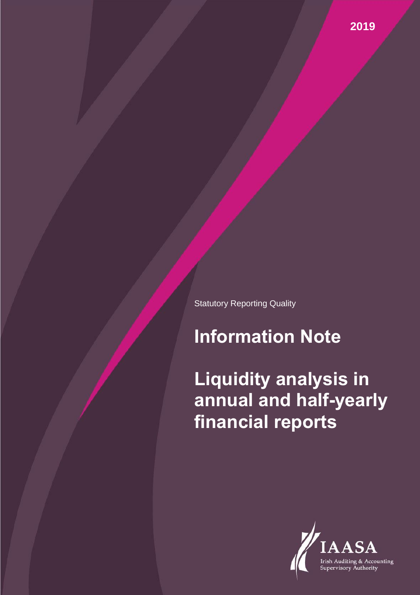Statutory Reporting Quality

# **Information Note**

**Liquidity analysis in annual and half-yearly financial reports**

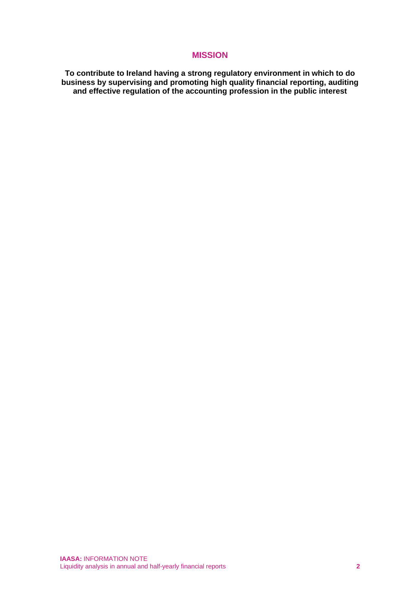## **MISSION**

**To contribute to Ireland having a strong regulatory environment in which to do business by supervising and promoting high quality financial reporting, auditing and effective regulation of the accounting profession in the public interest**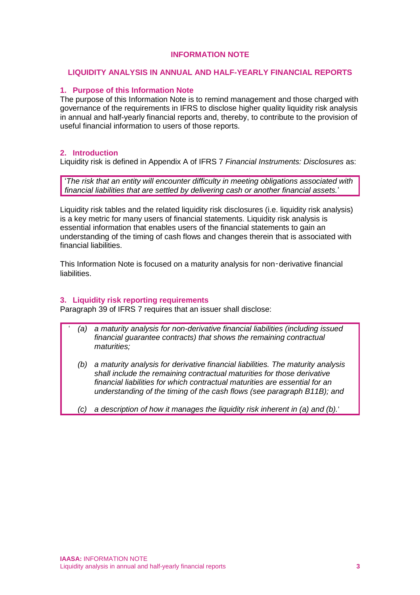## **INFORMATION NOTE**

#### **LIQUIDITY ANALYSIS IN ANNUAL AND HALF-YEARLY FINANCIAL REPORTS**

#### **1. Purpose of this Information Note**

The purpose of this Information Note is to remind management and those charged with governance of the requirements in IFRS to disclose higher quality liquidity risk analysis in annual and half-yearly financial reports and, thereby, to contribute to the provision of useful financial information to users of those reports.

#### **2. Introduction**

Liquidity risk is defined in Appendix A of IFRS 7 *Financial Instruments: Disclosures* as:

'*The risk that an entity will encounter difficulty in meeting obligations associated with financial liabilities that are settled by delivering cash or another financial assets.*'

Liquidity risk tables and the related liquidity risk disclosures (i.e. liquidity risk analysis) is a key metric for many users of financial statements. Liquidity risk analysis is essential information that enables users of the financial statements to gain an understanding of the timing of cash flows and changes therein that is associated with financial liabilities.

This Information Note is focused on a maturity analysis for non‑derivative financial liabilities.

#### **3. Liquidity risk reporting requirements**

Paragraph 39 of IFRS 7 requires that an issuer shall disclose:

- ' *(a) a maturity analysis for non-derivative financial liabilities (including issued financial guarantee contracts) that shows the remaining contractual maturities;*
	- *(b) a maturity analysis for derivative financial liabilities. The maturity analysis shall include the remaining contractual maturities for those derivative financial liabilities for which contractual maturities are essential for an understanding of the timing of the cash flows (see paragraph B11B); and*
	- *(c) a description of how it manages the liquidity risk inherent in (a) and (b).*'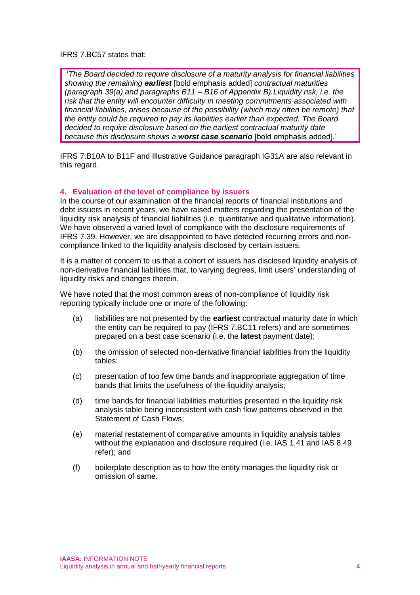#### IFRS 7.BC57 states that:

'*The Board decided to require disclosure of a maturity analysis for financial liabilities showing the remaining earliest* [bold emphasis added] *contractual maturities (paragraph 39(a) and paragraphs B11 – B16 of Appendix B).Liquidity risk, i.e. the risk that the entity will encounter difficulty in meeting commitments associated with financial liabilities, arises because of the possibility (which may often be remote) that the entity could be required to pay its liabilities earlier than expected. The Board decided to require disclosure based on the earliest contractual maturity date because this disclosure shows a worst case scenario* [bold emphasis added].'

IFRS 7.B10A to B11F and Illustrative Guidance paragraph IG31A are also relevant in this regard.

#### **4. Evaluation of the level of compliance by issuers**

In the course of our examination of the financial reports of financial institutions and debt issuers in recent years, we have raised matters regarding the presentation of the liquidity risk analysis of financial liabilities (i.e. quantitative and qualitative information). We have observed a varied level of compliance with the disclosure requirements of IFRS 7.39. However, we are disappointed to have detected recurring errors and noncompliance linked to the liquidity analysis disclosed by certain issuers.

It is a matter of concern to us that a cohort of issuers has disclosed liquidity analysis of non-derivative financial liabilities that, to varying degrees, limit users' understanding of liquidity risks and changes therein.

We have noted that the most common areas of non-compliance of liquidity risk reporting typically include one or more of the following:

- (a) liabilities are not presented by the **earliest** contractual maturity date in which the entity can be required to pay (IFRS 7.BC11 refers) and are sometimes prepared on a best case scenario (i.e. the **latest** payment date);
- (b) the omission of selected non-derivative financial liabilities from the liquidity tables;
- (c) presentation of too few time bands and inappropriate aggregation of time bands that limits the usefulness of the liquidity analysis;
- (d) time bands for financial liabilities maturities presented in the liquidity risk analysis table being inconsistent with cash flow patterns observed in the Statement of Cash Flows;
- (e) material restatement of comparative amounts in liquidity analysis tables without the explanation and disclosure required (i.e. IAS 1.41 and IAS 8.49 refer); and
- (f) boilerplate description as to how the entity manages the liquidity risk or omission of same.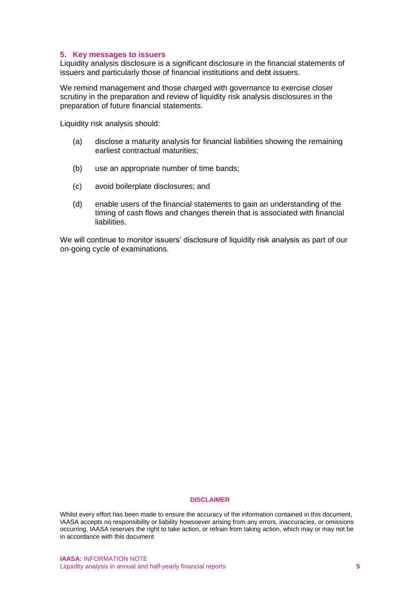#### **5. Key messages to issuers**

Liquidity analysis disclosure is a significant disclosure in the financial statements of issuers and particularly those of financial institutions and debt issuers.

We remind management and those charged with governance to exercise closer scrutiny in the preparation and review of liquidity risk analysis disclosures in the preparation of future financial statements.

Liquidity risk analysis should:

- (a) disclose a maturity analysis for financial liabilities showing the remaining earliest contractual maturities;
- (b) use an appropriate number of time bands;
- (c) avoid boilerplate disclosures; and
- (d) enable users of the financial statements to gain an understanding of the timing of cash flows and changes therein that is associated with financial liabilities.

We will continue to monitor issuers' disclosure of liquidity risk analysis as part of our on-going cycle of examinations.

#### **DISCLAIMER**

Whilst every effort has been made to ensure the accuracy of the information contained in this document, IAASA accepts no responsibility or liability howsoever arising from any errors, inaccuracies, or omissions occurring. IAASA reserves the right to take action, or refrain from taking action, which may or may not be in accordance with this document